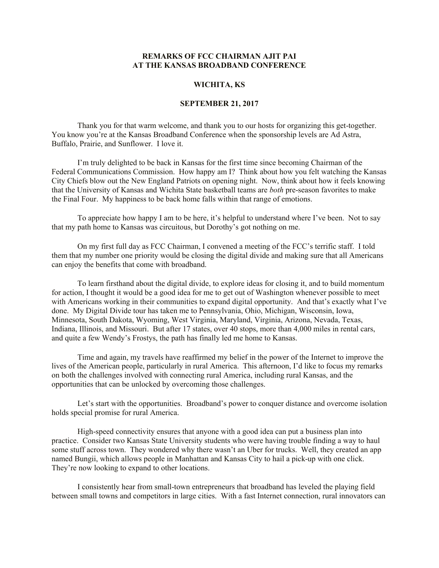## **REMARKS OF FCC CHAIRMAN AJIT PAI AT THE KANSAS BROADBAND CONFERENCE**

## **WICHITA, KS**

## **SEPTEMBER 21, 2017**

Thank you for that warm welcome, and thank you to our hosts for organizing this get-together. You know you're at the Kansas Broadband Conference when the sponsorship levels are Ad Astra, Buffalo, Prairie, and Sunflower. I love it.

I'm truly delighted to be back in Kansas for the first time since becoming Chairman of the Federal Communications Commission. How happy am I? Think about how you felt watching the Kansas City Chiefs blow out the New England Patriots on opening night. Now, think about how it feels knowing that the University of Kansas and Wichita State basketball teams are *both* pre-season favorites to make the Final Four. My happiness to be back home falls within that range of emotions.

To appreciate how happy I am to be here, it's helpful to understand where I've been. Not to say that my path home to Kansas was circuitous, but Dorothy's got nothing on me.

On my first full day as FCC Chairman, I convened a meeting of the FCC's terrific staff. I told them that my number one priority would be closing the digital divide and making sure that all Americans can enjoy the benefits that come with broadband.

To learn firsthand about the digital divide, to explore ideas for closing it, and to build momentum for action, I thought it would be a good idea for me to get out of Washington whenever possible to meet with Americans working in their communities to expand digital opportunity. And that's exactly what I've done. My Digital Divide tour has taken me to Pennsylvania, Ohio, Michigan, Wisconsin, Iowa, Minnesota, South Dakota, Wyoming, West Virginia, Maryland, Virginia, Arizona, Nevada, Texas, Indiana, Illinois, and Missouri. But after 17 states, over 40 stops, more than 4,000 miles in rental cars, and quite a few Wendy's Frostys, the path has finally led me home to Kansas.

Time and again, my travels have reaffirmed my belief in the power of the Internet to improve the lives of the American people, particularly in rural America. This afternoon, I'd like to focus my remarks on both the challenges involved with connecting rural America, including rural Kansas, and the opportunities that can be unlocked by overcoming those challenges.

Let's start with the opportunities. Broadband's power to conquer distance and overcome isolation holds special promise for rural America.

High-speed connectivity ensures that anyone with a good idea can put a business plan into practice. Consider two Kansas State University students who were having trouble finding a way to haul some stuff across town. They wondered why there wasn't an Uber for trucks. Well, they created an app named Bungii, which allows people in Manhattan and Kansas City to hail a pick-up with one click. They're now looking to expand to other locations.

I consistently hear from small-town entrepreneurs that broadband has leveled the playing field between small towns and competitors in large cities. With a fast Internet connection, rural innovators can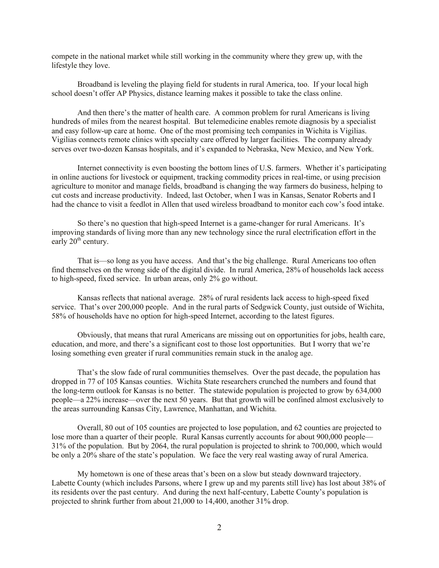compete in the national market while still working in the community where they grew up, with the lifestyle they love.

Broadband is leveling the playing field for students in rural America, too. If your local high school doesn't offer AP Physics, distance learning makes it possible to take the class online.

And then there's the matter of health care. A common problem for rural Americans is living hundreds of miles from the nearest hospital. But telemedicine enables remote diagnosis by a specialist and easy follow-up care at home. One of the most promising tech companies in Wichita is Vigilias. Vigilias connects remote clinics with specialty care offered by larger facilities. The company already serves over two-dozen Kansas hospitals, and it's expanded to Nebraska, New Mexico, and New York.

Internet connectivity is even boosting the bottom lines of U.S. farmers. Whether it's participating in online auctions for livestock or equipment, tracking commodity prices in real-time, or using precision agriculture to monitor and manage fields, broadband is changing the way farmers do business, helping to cut costs and increase productivity. Indeed, last October, when I was in Kansas, Senator Roberts and I had the chance to visit a feedlot in Allen that used wireless broadband to monitor each cow's food intake.

So there's no question that high-speed Internet is a game-changer for rural Americans. It's improving standards of living more than any new technology since the rural electrification effort in the early  $20<sup>th</sup>$  century.

That is—so long as you have access. And that's the big challenge. Rural Americans too often find themselves on the wrong side of the digital divide. In rural America, 28% of households lack access to high-speed, fixed service. In urban areas, only 2% go without.

Kansas reflects that national average. 28% of rural residents lack access to high-speed fixed service. That's over 200,000 people. And in the rural parts of Sedgwick County, just outside of Wichita, 58% of households have no option for high-speed Internet, according to the latest figures.

Obviously, that means that rural Americans are missing out on opportunities for jobs, health care, education, and more, and there's a significant cost to those lost opportunities. But I worry that we're losing something even greater if rural communities remain stuck in the analog age.

That's the slow fade of rural communities themselves. Over the past decade, the population has dropped in 77 of 105 Kansas counties. Wichita State researchers crunched the numbers and found that the long-term outlook for Kansas is no better. The statewide population is projected to grow by 634,000 people—a 22% increase—over the next 50 years. But that growth will be confined almost exclusively to the areas surrounding Kansas City, Lawrence, Manhattan, and Wichita.

Overall, 80 out of 105 counties are projected to lose population, and 62 counties are projected to lose more than a quarter of their people. Rural Kansas currently accounts for about 900,000 people— 31% of the population. But by 2064, the rural population is projected to shrink to 700,000, which would be only a 20% share of the state's population. We face the very real wasting away of rural America.

My hometown is one of these areas that's been on a slow but steady downward trajectory. Labette County (which includes Parsons, where I grew up and my parents still live) has lost about 38% of its residents over the past century. And during the next half-century, Labette County's population is projected to shrink further from about 21,000 to 14,400, another 31% drop.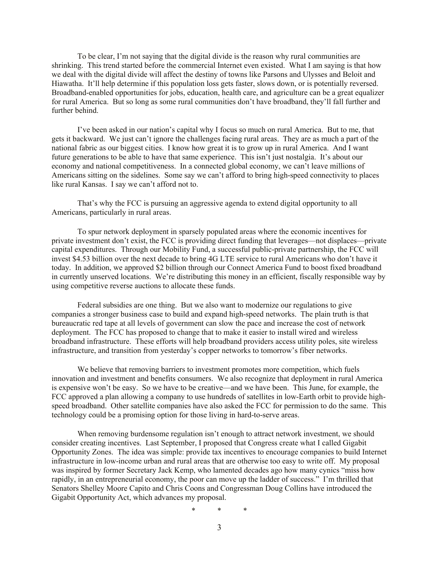To be clear, I'm not saying that the digital divide is the reason why rural communities are shrinking. This trend started before the commercial Internet even existed. What I am saying is that how we deal with the digital divide will affect the destiny of towns like Parsons and Ulysses and Beloit and Hiawatha. It'll help determine if this population loss gets faster, slows down, or is potentially reversed. Broadband-enabled opportunities for jobs, education, health care, and agriculture can be a great equalizer for rural America. But so long as some rural communities don't have broadband, they'll fall further and further behind.

I've been asked in our nation's capital why I focus so much on rural America. But to me, that gets it backward. We just can't ignore the challenges facing rural areas. They are as much a part of the national fabric as our biggest cities. I know how great it is to grow up in rural America. And I want future generations to be able to have that same experience. This isn't just nostalgia. It's about our economy and national competitiveness. In a connected global economy, we can't leave millions of Americans sitting on the sidelines. Some say we can't afford to bring high-speed connectivity to places like rural Kansas. I say we can't afford not to.

That's why the FCC is pursuing an aggressive agenda to extend digital opportunity to all Americans, particularly in rural areas.

To spur network deployment in sparsely populated areas where the economic incentives for private investment don't exist, the FCC is providing direct funding that leverages—not displaces—private capital expenditures. Through our Mobility Fund, a successful public-private partnership, the FCC will invest \$4.53 billion over the next decade to bring 4G LTE service to rural Americans who don't have it today. In addition, we approved \$2 billion through our Connect America Fund to boost fixed broadband in currently unserved locations. We're distributing this money in an efficient, fiscally responsible way by using competitive reverse auctions to allocate these funds.

Federal subsidies are one thing. But we also want to modernize our regulations to give companies a stronger business case to build and expand high-speed networks. The plain truth is that bureaucratic red tape at all levels of government can slow the pace and increase the cost of network deployment. The FCC has proposed to change that to make it easier to install wired and wireless broadband infrastructure. These efforts will help broadband providers access utility poles, site wireless infrastructure, and transition from yesterday's copper networks to tomorrow's fiber networks.

We believe that removing barriers to investment promotes more competition, which fuels innovation and investment and benefits consumers. We also recognize that deployment in rural America is expensive won't be easy. So we have to be creative—and we have been. This June, for example, the FCC approved a plan allowing a company to use hundreds of satellites in low-Earth orbit to provide highspeed broadband. Other satellite companies have also asked the FCC for permission to do the same. This technology could be a promising option for those living in hard-to-serve areas.

When removing burdensome regulation isn't enough to attract network investment, we should consider creating incentives. Last September, I proposed that Congress create what I called Gigabit Opportunity Zones. The idea was simple: provide tax incentives to encourage companies to build Internet infrastructure in low-income urban and rural areas that are otherwise too easy to write off. My proposal was inspired by former Secretary Jack Kemp, who lamented decades ago how many cynics "miss how rapidly, in an entrepreneurial economy, the poor can move up the ladder of success." I'm thrilled that Senators Shelley Moore Capito and Chris Coons and Congressman Doug Collins have introduced the Gigabit Opportunity Act, which advances my proposal.

\* \* \*